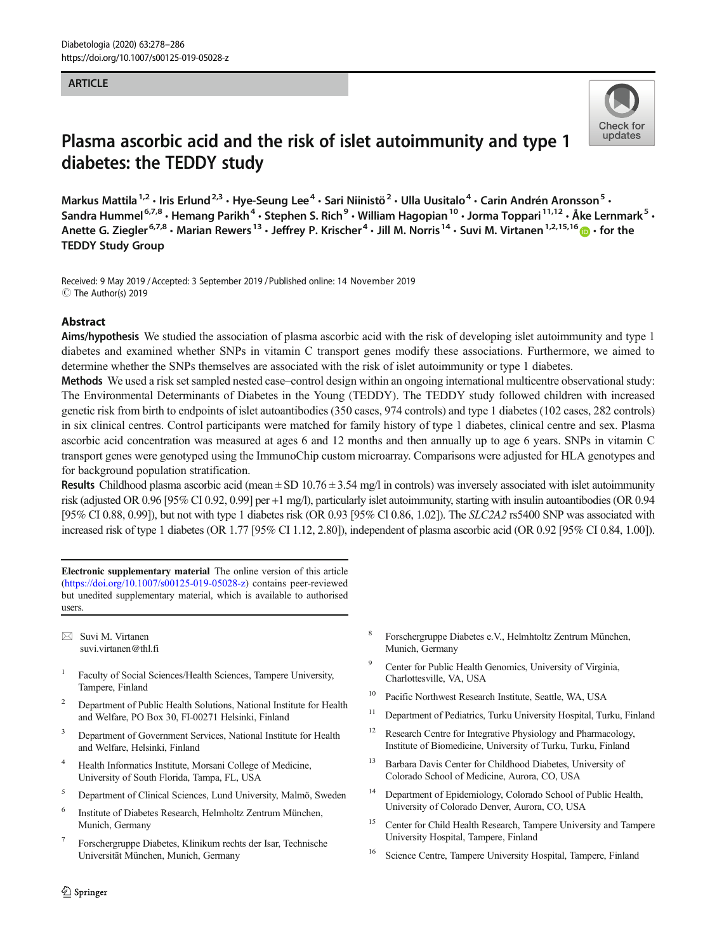## **ARTICLE**



# Plasma ascorbic acid and the risk of islet autoimmunity and type 1 diabetes: the TEDDY study

Markus Mattila<sup>1,2</sup> · Iris Erlund<sup>2,3</sup> · Hye-Seung Lee<sup>4</sup> · Sari Niinistö<sup>2</sup> · Ulla Uusitalo<sup>4</sup> · Carin Andrén Aronsson<sup>5</sup> · Sandra Hummel<sup>6,7,8</sup> • Hemang Parikh<sup>4</sup> • Stephen S. Rich<sup>9</sup> • William Hagopian<sup>10</sup> • Jorma Toppari<sup>11,12</sup> • Åke Lernmark<sup>5</sup> • Anette G. Ziegler<sup>6,7,8</sup>  $\cdot$  Marian Rewers<sup>13</sup>  $\cdot$  Jeffrey P. Krischer<sup>4</sup>  $\cdot$  Jill M. Norris<sup>14</sup>  $\cdot$  Suvi M. Virtanen<sup>1,2,15,16</sup>  $\cdot$  for the TEDDY Study Group

Received: 9 May 2019 /Accepted: 3 September 2019 /Published online: 14 November 2019 C The Author(s) 2019

## Abstract

Aims/hypothesis We studied the association of plasma ascorbic acid with the risk of developing islet autoimmunity and type 1 diabetes and examined whether SNPs in vitamin C transport genes modify these associations. Furthermore, we aimed to determine whether the SNPs themselves are associated with the risk of islet autoimmunity or type 1 diabetes.

Methods We used a risk set sampled nested case–control design within an ongoing international multicentre observational study: The Environmental Determinants of Diabetes in the Young (TEDDY). The TEDDY study followed children with increased genetic risk from birth to endpoints of islet autoantibodies (350 cases, 974 controls) and type 1 diabetes (102 cases, 282 controls) in six clinical centres. Control participants were matched for family history of type 1 diabetes, clinical centre and sex. Plasma ascorbic acid concentration was measured at ages 6 and 12 months and then annually up to age 6 years. SNPs in vitamin C transport genes were genotyped using the ImmunoChip custom microarray. Comparisons were adjusted for HLA genotypes and for background population stratification.

**Results** Childhood plasma ascorbic acid (mean  $\pm$  SD 10.76  $\pm$  3.54 mg/l in controls) was inversely associated with islet autoimmunity risk (adjusted OR 0.96 [95% CI 0.92, 0.99] per +1 mg/l), particularly islet autoimmunity, starting with insulin autoantibodies (OR 0.94 [95% CI 0.88, 0.99]), but not with type 1 diabetes risk (OR 0.93 [95% Cl 0.86, 1.02]). The SLC2A2 rs5400 SNP was associated with increased risk of type 1 diabetes (OR 1.77 [95% CI 1.12, 2.80]), independent of plasma ascorbic acid (OR 0.92 [95% CI 0.84, 1.00]).

Electronic supplementary material The online version of this article (https://doi.org/10.1007/s00125-019-05028-z) contains peer-reviewed but unedited supplementary material, which is available to authorised users.

 $\boxtimes$  Suvi M. Virtanen [suvi.virtanen@thl.fi](mailto:suvi.virtanen@thl.fi)

- <sup>1</sup> Faculty of Social Sciences/Health Sciences, Tampere University, Tampere, Finland
- <sup>2</sup> Department of Public Health Solutions, National Institute for Health and Welfare, PO Box 30, FI-00271 Helsinki, Finland
- Department of Government Services, National Institute for Health and Welfare, Helsinki, Finland
- <sup>4</sup> Health Informatics Institute, Morsani College of Medicine, University of South Florida, Tampa, FL, USA
- <sup>5</sup> Department of Clinical Sciences, Lund University, Malmö, Sweden
- <sup>6</sup> Institute of Diabetes Research, Helmholtz Zentrum München, Munich, Germany
- <sup>7</sup> Forschergruppe Diabetes, Klinikum rechts der Isar, Technische Universität München, Munich, Germany
- <sup>8</sup> Forschergruppe Diabetes e.V., Helmhtoltz Zentrum München, Munich, Germany
- Center for Public Health Genomics, University of Virginia, Charlottesville, VA, USA
- <sup>10</sup> Pacific Northwest Research Institute, Seattle, WA, USA
- <sup>11</sup> Department of Pediatrics, Turku University Hospital, Turku, Finland
- <sup>12</sup> Research Centre for Integrative Physiology and Pharmacology, Institute of Biomedicine, University of Turku, Turku, Finland
- <sup>13</sup> Barbara Davis Center for Childhood Diabetes, University of Colorado School of Medicine, Aurora, CO, USA
- <sup>14</sup> Department of Epidemiology, Colorado School of Public Health, University of Colorado Denver, Aurora, CO, USA
- <sup>15</sup> Center for Child Health Research, Tampere University and Tampere University Hospital, Tampere, Finland
- Science Centre, Tampere University Hospital, Tampere, Finland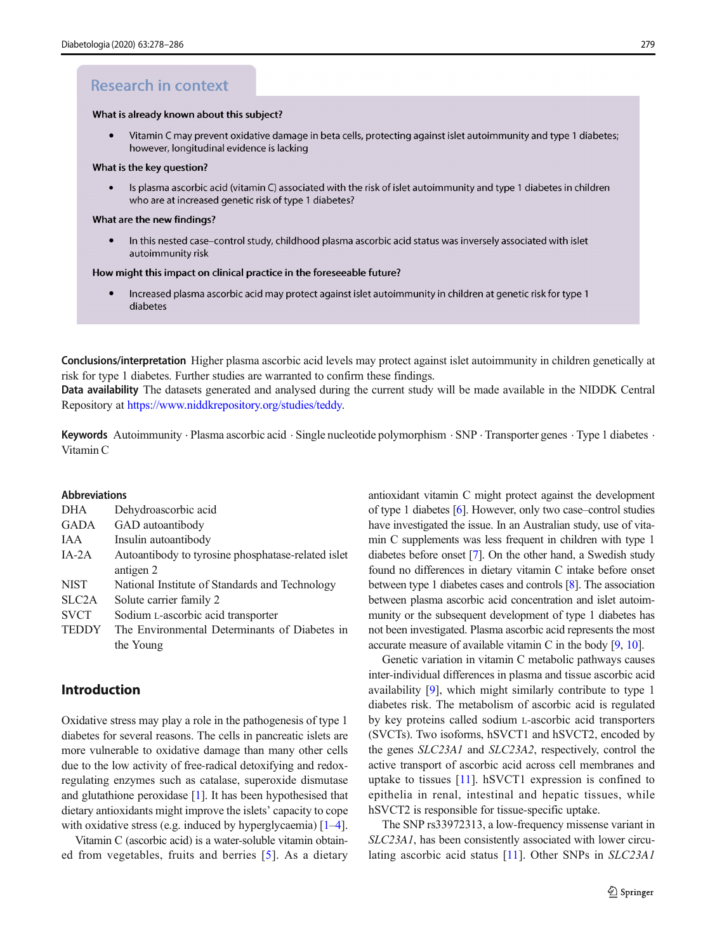# **Research in context**

#### What is already known about this subject?

 $\bullet$ Vitamin C may prevent oxidative damage in beta cells, protecting against islet autoimmunity and type 1 diabetes; however, longitudinal evidence is lacking

#### What is the key question?

Is plasma ascorbic acid (vitamin C) associated with the risk of islet autoimmunity and type 1 diabetes in children who are at increased genetic risk of type 1 diabetes?

#### What are the new findings?

In this nested case-control study, childhood plasma ascorbic acid status was inversely associated with islet autoimmunity risk

#### How might this impact on clinical practice in the foreseeable future?

 $\bullet$ Increased plasma ascorbic acid may protect against islet autoimmunity in children at genetic risk for type 1 diabetes

Conclusions/interpretation Higher plasma ascorbic acid levels may protect against islet autoimmunity in children genetically at risk for type 1 diabetes. Further studies are warranted to confirm these findings.

Data availability The datasets generated and analysed during the current study will be made available in the NIDDK Central Repository at [https://www.niddkrepository.org/studies/teddy.](https://www.niddkrepository.org/studies/teddy)

Keywords Autoimmunity . Plasma ascorbic acid . Single nucleotide polymorphism . SNP . Transporter genes . Type 1 diabetes . Vitamin C

#### Abbreviations

| <b>DHA</b>         | Dehydroascorbic acid                               |
|--------------------|----------------------------------------------------|
| <b>GADA</b>        | GAD autoantibody                                   |
| IAA                | Insulin autoantibody                               |
| $IA-2A$            | Autoantibody to tyrosine phosphatase-related islet |
|                    | antigen 2                                          |
| <b>NIST</b>        | National Institute of Standards and Technology     |
| SLC <sub>2</sub> A | Solute carrier family 2                            |
| <b>SVCT</b>        | Sodium L-ascorbic acid transporter                 |
| <b>TEDDY</b>       | The Environmental Determinants of Diabetes in      |
|                    | the Young                                          |

# Introduction

Oxidative stress may play a role in the pathogenesis of type 1 diabetes for several reasons. The cells in pancreatic islets are more vulnerable to oxidative damage than many other cells due to the low activity of free-radical detoxifying and redoxregulating enzymes such as catalase, superoxide dismutase and glutathione peroxidase [\[1](#page-7-0)]. It has been hypothesised that dietary antioxidants might improve the islets' capacity to cope with oxidative stress (e.g. induced by hyperglycaemia)  $[1-4]$  $[1-4]$  $[1-4]$  $[1-4]$ .

Vitamin C (ascorbic acid) is a water-soluble vitamin obtained from vegetables, fruits and berries [[5\]](#page-7-0). As a dietary antioxidant vitamin C might protect against the development of type 1 diabetes [\[6](#page-7-0)]. However, only two case–control studies have investigated the issue. In an Australian study, use of vitamin C supplements was less frequent in children with type 1 diabetes before onset [[7\]](#page-7-0). On the other hand, a Swedish study found no differences in dietary vitamin C intake before onset between type 1 diabetes cases and controls [\[8\]](#page-7-0). The association between plasma ascorbic acid concentration and islet autoimmunity or the subsequent development of type 1 diabetes has not been investigated. Plasma ascorbic acid represents the most accurate measure of available vitamin C in the body [[9,](#page-7-0) [10](#page-7-0)].

Genetic variation in vitamin C metabolic pathways causes inter-individual differences in plasma and tissue ascorbic acid availability [[9\]](#page-7-0), which might similarly contribute to type 1 diabetes risk. The metabolism of ascorbic acid is regulated by key proteins called sodium L-ascorbic acid transporters (SVCTs). Two isoforms, hSVCT1 and hSVCT2, encoded by the genes SLC23A1 and SLC23A2, respectively, control the active transport of ascorbic acid across cell membranes and uptake to tissues [[11\]](#page-7-0). hSVCT1 expression is confined to epithelia in renal, intestinal and hepatic tissues, while hSVCT2 is responsible for tissue-specific uptake.

The SNP rs33972313, a low-frequency missense variant in SLC23A1, has been consistently associated with lower circulating ascorbic acid status [\[11](#page-7-0)]. Other SNPs in SLC23A1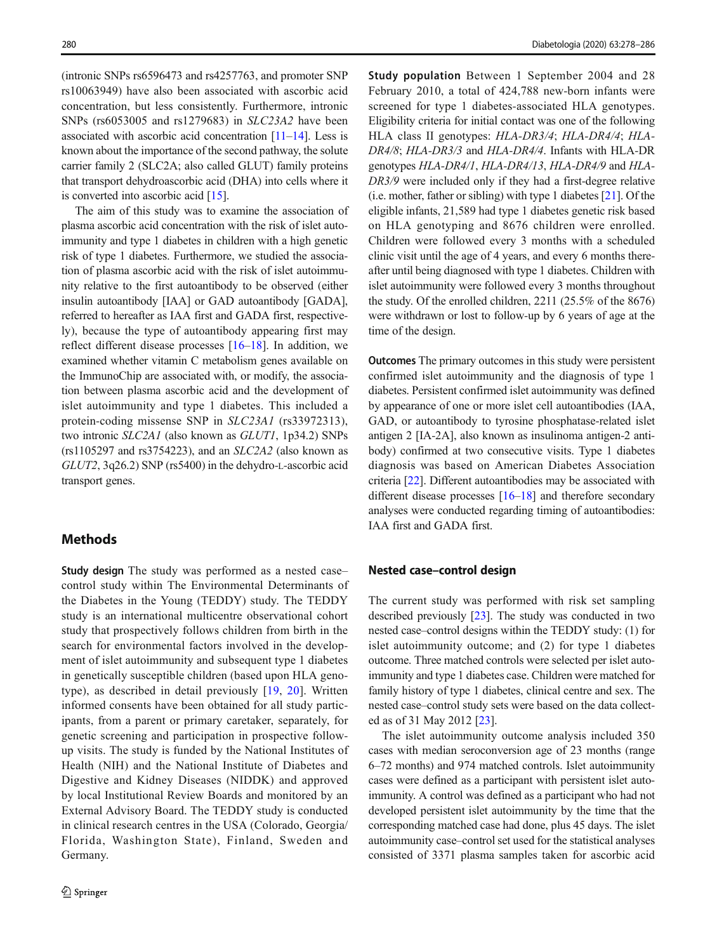(intronic SNPs rs6596473 and rs4257763, and promoter SNP rs10063949) have also been associated with ascorbic acid concentration, but less consistently. Furthermore, intronic SNPs (rs6053005 and rs1279683) in SLC23A2 have been associated with ascorbic acid concentration  $[11-14]$  $[11-14]$  $[11-14]$ . Less is known about the importance of the second pathway, the solute carrier family 2 (SLC2A; also called GLUT) family proteins that transport dehydroascorbic acid (DHA) into cells where it is converted into ascorbic acid [\[15\]](#page-8-0).

The aim of this study was to examine the association of plasma ascorbic acid concentration with the risk of islet autoimmunity and type 1 diabetes in children with a high genetic risk of type 1 diabetes. Furthermore, we studied the association of plasma ascorbic acid with the risk of islet autoimmunity relative to the first autoantibody to be observed (either insulin autoantibody [IAA] or GAD autoantibody [GADA], referred to hereafter as IAA first and GADA first, respectively), because the type of autoantibody appearing first may reflect different disease processes [\[16](#page-8-0)–[18\]](#page-8-0). In addition, we examined whether vitamin C metabolism genes available on the ImmunoChip are associated with, or modify, the association between plasma ascorbic acid and the development of islet autoimmunity and type 1 diabetes. This included a protein-coding missense SNP in SLC23A1 (rs33972313), two intronic SLC2A1 (also known as GLUT1, 1p34.2) SNPs (rs1105297 and rs3754223), and an SLC2A2 (also known as GLUT2, 3q26.2) SNP (rs5400) in the dehydro-L-ascorbic acid transport genes.

# **Methods**

Study design The study was performed as a nested case– control study within The Environmental Determinants of the Diabetes in the Young (TEDDY) study. The TEDDY study is an international multicentre observational cohort study that prospectively follows children from birth in the search for environmental factors involved in the development of islet autoimmunity and subsequent type 1 diabetes in genetically susceptible children (based upon HLA genotype), as described in detail previously [[19](#page-8-0), [20\]](#page-8-0). Written informed consents have been obtained for all study participants, from a parent or primary caretaker, separately, for genetic screening and participation in prospective followup visits. The study is funded by the National Institutes of Health (NIH) and the National Institute of Diabetes and Digestive and Kidney Diseases (NIDDK) and approved by local Institutional Review Boards and monitored by an External Advisory Board. The TEDDY study is conducted in clinical research centres in the USA (Colorado, Georgia/ Florida, Washington State), Finland, Sweden and Germany.

Study population Between 1 September 2004 and 28 February 2010, a total of 424,788 new-born infants were screened for type 1 diabetes-associated HLA genotypes. Eligibility criteria for initial contact was one of the following HLA class II genotypes: HLA-DR3/4; HLA-DR4/4; HLA-DR4/8; HLA-DR3/3 and HLA-DR4/4. Infants with HLA-DR genotypes HLA-DR4/1, HLA-DR4/13, HLA-DR4/9 and HLA-DR3/9 were included only if they had a first-degree relative (i.e. mother, father or sibling) with type 1 diabetes [[21](#page-8-0)]. Of the eligible infants, 21,589 had type 1 diabetes genetic risk based on HLA genotyping and 8676 children were enrolled. Children were followed every 3 months with a scheduled clinic visit until the age of 4 years, and every 6 months thereafter until being diagnosed with type 1 diabetes. Children with islet autoimmunity were followed every 3 months throughout the study. Of the enrolled children, 2211 (25.5% of the 8676) were withdrawn or lost to follow-up by 6 years of age at the time of the design.

Outcomes The primary outcomes in this study were persistent confirmed islet autoimmunity and the diagnosis of type 1 diabetes. Persistent confirmed islet autoimmunity was defined by appearance of one or more islet cell autoantibodies (IAA, GAD, or autoantibody to tyrosine phosphatase-related islet antigen 2 [IA-2A], also known as insulinoma antigen-2 antibody) confirmed at two consecutive visits. Type 1 diabetes diagnosis was based on American Diabetes Association criteria [[22\]](#page-8-0). Different autoantibodies may be associated with different disease processes [[16](#page-8-0)–[18](#page-8-0)] and therefore secondary analyses were conducted regarding timing of autoantibodies: IAA first and GADA first.

### Nested case–control design

The current study was performed with risk set sampling described previously [\[23\]](#page-8-0). The study was conducted in two nested case–control designs within the TEDDY study: (1) for islet autoimmunity outcome; and (2) for type 1 diabetes outcome. Three matched controls were selected per islet autoimmunity and type 1 diabetes case. Children were matched for family history of type 1 diabetes, clinical centre and sex. The nested case–control study sets were based on the data collected as of 31 May 2012 [[23\]](#page-8-0).

The islet autoimmunity outcome analysis included 350 cases with median seroconversion age of 23 months (range 6–72 months) and 974 matched controls. Islet autoimmunity cases were defined as a participant with persistent islet autoimmunity. A control was defined as a participant who had not developed persistent islet autoimmunity by the time that the corresponding matched case had done, plus 45 days. The islet autoimmunity case–control set used for the statistical analyses consisted of 3371 plasma samples taken for ascorbic acid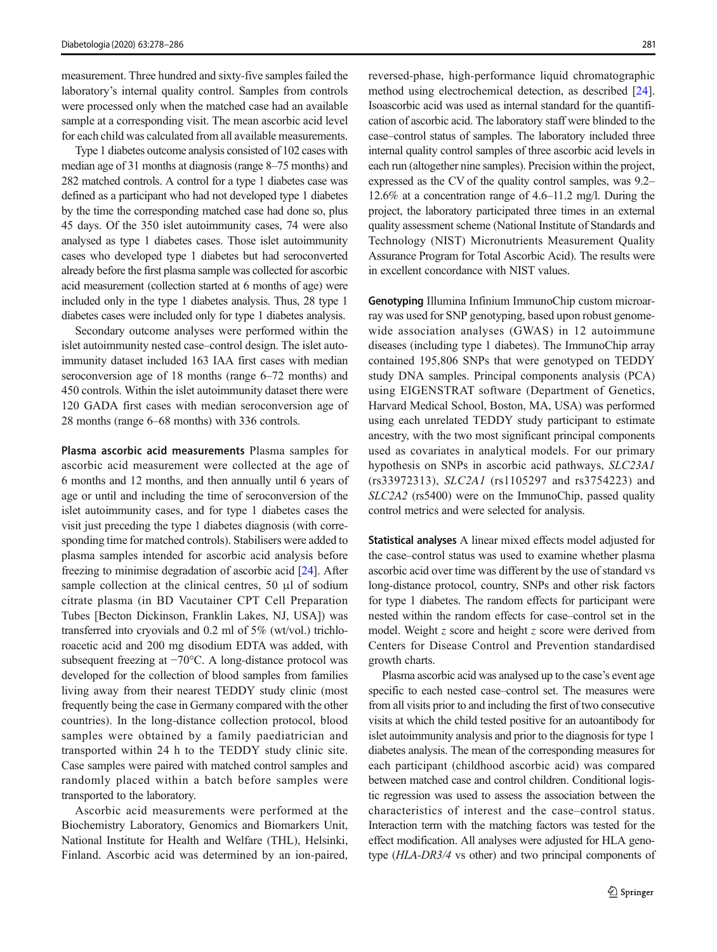measurement. Three hundred and sixty-five samples failed the laboratory's internal quality control. Samples from controls were processed only when the matched case had an available sample at a corresponding visit. The mean ascorbic acid level for each child was calculated from all available measurements.

Type 1 diabetes outcome analysis consisted of 102 cases with median age of 31 months at diagnosis (range 8–75 months) and 282 matched controls. A control for a type 1 diabetes case was defined as a participant who had not developed type 1 diabetes by the time the corresponding matched case had done so, plus 45 days. Of the 350 islet autoimmunity cases, 74 were also analysed as type 1 diabetes cases. Those islet autoimmunity cases who developed type 1 diabetes but had seroconverted already before the first plasma sample was collected for ascorbic acid measurement (collection started at 6 months of age) were included only in the type 1 diabetes analysis. Thus, 28 type 1 diabetes cases were included only for type 1 diabetes analysis.

Secondary outcome analyses were performed within the islet autoimmunity nested case–control design. The islet autoimmunity dataset included 163 IAA first cases with median seroconversion age of 18 months (range 6–72 months) and 450 controls. Within the islet autoimmunity dataset there were 120 GADA first cases with median seroconversion age of 28 months (range 6–68 months) with 336 controls.

Plasma ascorbic acid measurements Plasma samples for ascorbic acid measurement were collected at the age of 6 months and 12 months, and then annually until 6 years of age or until and including the time of seroconversion of the islet autoimmunity cases, and for type 1 diabetes cases the visit just preceding the type 1 diabetes diagnosis (with corresponding time for matched controls). Stabilisers were added to plasma samples intended for ascorbic acid analysis before freezing to minimise degradation of ascorbic acid [[24](#page-8-0)]. After sample collection at the clinical centres,  $50 \mu l$  of sodium citrate plasma (in BD Vacutainer CPT Cell Preparation Tubes [Becton Dickinson, Franklin Lakes, NJ, USA]) was transferred into cryovials and 0.2 ml of 5% (wt/vol.) trichloroacetic acid and 200 mg disodium EDTA was added, with subsequent freezing at −70°C. A long-distance protocol was developed for the collection of blood samples from families living away from their nearest TEDDY study clinic (most frequently being the case in Germany compared with the other countries). In the long-distance collection protocol, blood samples were obtained by a family paediatrician and transported within 24 h to the TEDDY study clinic site. Case samples were paired with matched control samples and randomly placed within a batch before samples were transported to the laboratory.

Ascorbic acid measurements were performed at the Biochemistry Laboratory, Genomics and Biomarkers Unit, National Institute for Health and Welfare (THL), Helsinki, Finland. Ascorbic acid was determined by an ion-paired, reversed-phase, high-performance liquid chromatographic method using electrochemical detection, as described [[24\]](#page-8-0). Isoascorbic acid was used as internal standard for the quantification of ascorbic acid. The laboratory staff were blinded to the case–control status of samples. The laboratory included three internal quality control samples of three ascorbic acid levels in each run (altogether nine samples). Precision within the project, expressed as the CV of the quality control samples, was 9.2– 12.6% at a concentration range of 4.6–11.2 mg/l. During the project, the laboratory participated three times in an external quality assessment scheme (National Institute of Standards and Technology (NIST) Micronutrients Measurement Quality Assurance Program for Total Ascorbic Acid). The results were in excellent concordance with NIST values.

Genotyping Illumina Infinium ImmunoChip custom microarray was used for SNP genotyping, based upon robust genomewide association analyses (GWAS) in 12 autoimmune diseases (including type 1 diabetes). The ImmunoChip array contained 195,806 SNPs that were genotyped on TEDDY study DNA samples. Principal components analysis (PCA) using EIGENSTRAT software (Department of Genetics, Harvard Medical School, Boston, MA, USA) was performed using each unrelated TEDDY study participant to estimate ancestry, with the two most significant principal components used as covariates in analytical models. For our primary hypothesis on SNPs in ascorbic acid pathways, SLC23A1 (rs33972313), SLC2A1 (rs1105297 and rs3754223) and SLC2A2 (rs5400) were on the ImmunoChip, passed quality control metrics and were selected for analysis.

Statistical analyses A linear mixed effects model adjusted for the case–control status was used to examine whether plasma ascorbic acid over time was different by the use of standard vs long-distance protocol, country, SNPs and other risk factors for type 1 diabetes. The random effects for participant were nested within the random effects for case–control set in the model. Weight z score and height z score were derived from Centers for Disease Control and Prevention standardised growth charts.

Plasma ascorbic acid was analysed up to the case's event age specific to each nested case–control set. The measures were from all visits prior to and including the first of two consecutive visits at which the child tested positive for an autoantibody for islet autoimmunity analysis and prior to the diagnosis for type 1 diabetes analysis. The mean of the corresponding measures for each participant (childhood ascorbic acid) was compared between matched case and control children. Conditional logistic regression was used to assess the association between the characteristics of interest and the case–control status. Interaction term with the matching factors was tested for the effect modification. All analyses were adjusted for HLA genotype (HLA-DR3/4 vs other) and two principal components of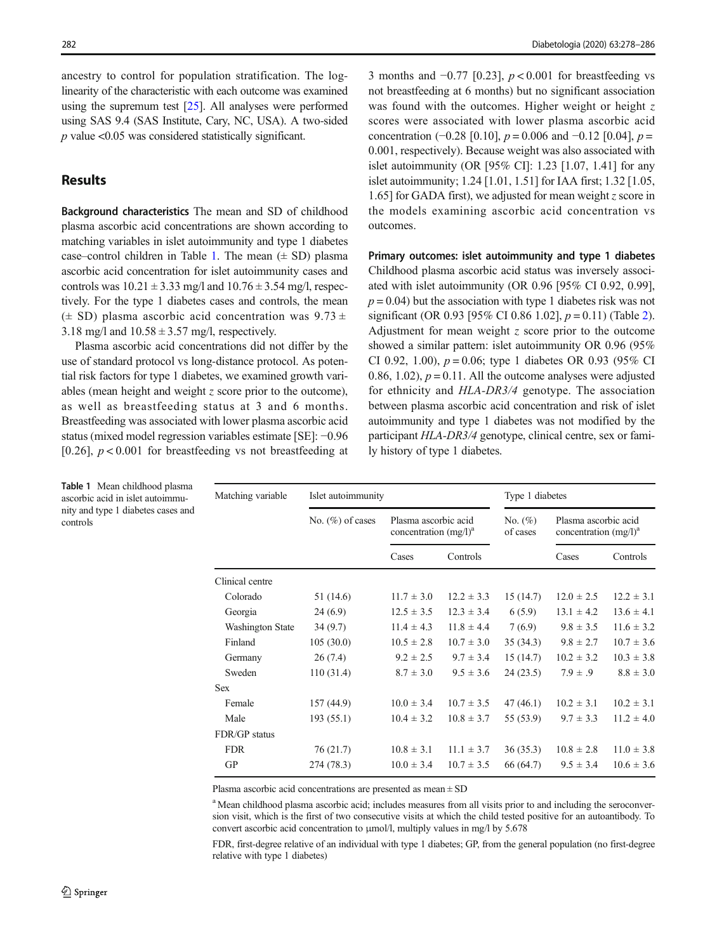ancestry to control for population stratification. The loglinearity of the characteristic with each outcome was examined using the supremum test [[25](#page-8-0)]. All analyses were performed using SAS 9.4 (SAS Institute, Cary, NC, USA). A two-sided  $p$  value <0.05 was considered statistically significant.

## **Results**

Background characteristics The mean and SD of childhood plasma ascorbic acid concentrations are shown according to matching variables in islet autoimmunity and type 1 diabetes case–control children in Table 1. The mean  $(\pm SD)$  plasma ascorbic acid concentration for islet autoimmunity cases and controls was  $10.21 \pm 3.33$  mg/l and  $10.76 \pm 3.54$  mg/l, respectively. For the type 1 diabetes cases and controls, the mean  $(\pm$  SD) plasma ascorbic acid concentration was 9.73  $\pm$ 3.18 mg/l and  $10.58 \pm 3.57$  mg/l, respectively.

Plasma ascorbic acid concentrations did not differ by the use of standard protocol vs long-distance protocol. As potential risk factors for type 1 diabetes, we examined growth variables (mean height and weight z score prior to the outcome), as well as breastfeeding status at 3 and 6 months. Breastfeeding was associated with lower plasma ascorbic acid status (mixed model regression variables estimate [SE]: −0.96 [0.26],  $p < 0.001$  for breastfeeding vs not breastfeeding at 3 months and  $-0.77$  [0.23],  $p < 0.001$  for breastfeeding vs not breastfeeding at 6 months) but no significant association was found with the outcomes. Higher weight or height  $z$ scores were associated with lower plasma ascorbic acid concentration (−0.28 [0.10],  $p = 0.006$  and −0.12 [0.04],  $p =$ 0.001, respectively). Because weight was also associated with islet autoimmunity (OR [95% CI]: 1.23 [1.07, 1.41] for any islet autoimmunity; 1.24 [1.01, 1.51] for IAA first; 1.32 [1.05, 1.65] for GADA first), we adjusted for mean weight z score in the models examining ascorbic acid concentration vs outcomes.

Primary outcomes: islet autoimmunity and type 1 diabetes Childhood plasma ascorbic acid status was inversely associated with islet autoimmunity (OR 0.96 [95% CI 0.92, 0.99],  $p = 0.04$ ) but the association with type 1 diabetes risk was not significant (OR 0.93 [95% CI 0.86 1.02],  $p = 0.11$ ) (Table [2\)](#page-5-0). Adjustment for mean weight  $z$  score prior to the outcome showed a similar pattern: islet autoimmunity OR 0.96 (95% CI 0.92, 1.00),  $p = 0.06$ ; type 1 diabetes OR 0.93 (95% CI 0.86, 1.02),  $p = 0.11$ . All the outcome analyses were adjusted for ethnicity and HLA-DR3/4 genotype. The association between plasma ascorbic acid concentration and risk of islet autoimmunity and type 1 diabetes was not modified by the participant HLA-DR3/4 genotype, clinical centre, sex or family history of type 1 diabetes.

| Islet autoimmunity  |                                                    |                | Type 1 diabetes        |                                                  |                |
|---------------------|----------------------------------------------------|----------------|------------------------|--------------------------------------------------|----------------|
| No. $(\%)$ of cases | Plasma ascorbic acid<br>concentration $(mg/l)^{a}$ |                | No. $(\%)$<br>of cases | Plasma ascorbic acid<br>concentration $(mg/l)^a$ |                |
|                     | Cases                                              | Controls       |                        | Cases                                            | Controls       |
|                     |                                                    |                |                        |                                                  |                |
| 51 (14.6)           | $11.7 \pm 3.0$                                     | $12.2 \pm 3.3$ | 15(14.7)               | $12.0 \pm 2.5$                                   | $12.2 \pm 3.1$ |
| 24(6.9)             | $12.5 \pm 3.5$                                     | $12.3 \pm 3.4$ | 6(5.9)                 | $13.1 \pm 4.2$                                   | $13.6 \pm 4.1$ |
| 34(9.7)             | $11.4 \pm 4.3$                                     | $11.8 \pm 4.4$ | 7(6.9)                 | $9.8 \pm 3.5$                                    | $11.6 \pm 3.2$ |
| 105(30.0)           | $10.5 \pm 2.8$                                     | $10.7 \pm 3.0$ | 35(34.3)               | $9.8 \pm 2.7$                                    | $10.7 \pm 3.6$ |
| 26(7.4)             | $9.2 \pm 2.5$                                      | $9.7 \pm 3.4$  | 15(14.7)               | $10.2 \pm 3.2$                                   | $10.3 \pm 3.8$ |
| 110(31.4)           | $8.7 \pm 3.0$                                      | $9.5 \pm 3.6$  | 24(23.5)               | $7.9 \pm .9$                                     | $8.8 \pm 3.0$  |
|                     |                                                    |                |                        |                                                  |                |
| 157 (44.9)          | $10.0 \pm 3.4$                                     | $10.7 \pm 3.5$ | 47(46.1)               | $10.2 \pm 3.1$                                   | $10.2 \pm 3.1$ |
| 193(55.1)           | $10.4 \pm 3.2$                                     | $10.8 \pm 3.7$ | 55 (53.9)              | $9.7 \pm 3.3$                                    | $11.2 \pm 4.0$ |
|                     |                                                    |                |                        |                                                  |                |
| 76(21.7)            | $10.8 \pm 3.1$                                     | $11.1 \pm 3.7$ | 36(35.3)               | $10.8 \pm 2.8$                                   | $11.0 \pm 3.8$ |
| 274 (78.3)          | $10.0 \pm 3.4$                                     | $10.7 \pm 3.5$ | 66 (64.7)              | $9.5 \pm 3.4$                                    | $10.6 \pm 3.6$ |
|                     |                                                    |                |                        |                                                  |                |

Plasma ascorbic acid concentrations are presented as mean  $\pm$  SD

<sup>a</sup> Mean childhood plasma ascorbic acid; includes measures from all visits prior to and including the seroconversion visit, which is the first of two consecutive visits at which the child tested positive for an autoantibody. To convert ascorbic acid concentration to μmol/l, multiply values in mg/l by 5.678

FDR, first-degree relative of an individual with type 1 diabetes; GP, from the general population (no first-degree relative with type 1 diabetes)

Table 1 Mean childhood plasma ascorbic acid in islet autoimmunity and type 1 diabetes cases and controls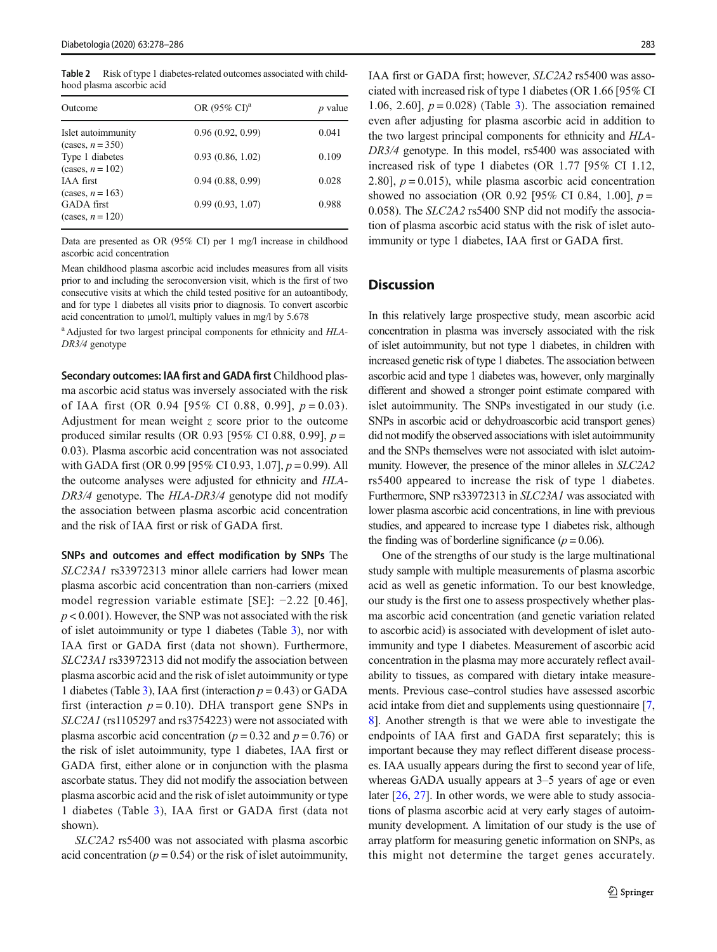<span id="page-5-0"></span>Table 2 Risk of type 1 diabetes-related outcomes associated with childhood plasma ascorbic acid

| Outcome                                  | OR $(95\% \text{ CI})^a$ | <i>p</i> value |
|------------------------------------------|--------------------------|----------------|
| Islet autoimmunity<br>$(cases, n = 350)$ | 0.96(0.92, 0.99)         | 0.041          |
| Type 1 diabetes<br>(cases, $n = 102$ )   | 0.93(0.86, 1.02)         | 0.109          |
| IAA first<br>$(\text{cases}, n = 163)$   | 0.94(0.88, 0.99)         | 0.028          |
| <b>GADA</b> first<br>(cases, $n = 120$ ) | 0.99(0.93, 1.07)         | 0.988          |

Data are presented as OR (95% CI) per 1 mg/l increase in childhood ascorbic acid concentration

Mean childhood plasma ascorbic acid includes measures from all visits prior to and including the seroconversion visit, which is the first of two consecutive visits at which the child tested positive for an autoantibody, and for type 1 diabetes all visits prior to diagnosis. To convert ascorbic acid concentration to μmol/l, multiply values in mg/l by 5.678

<sup>a</sup> Adjusted for two largest principal components for ethnicity and HLA-DR3/4 genotype

Secondary outcomes: IAA first and GADA first Childhood plasma ascorbic acid status was inversely associated with the risk of IAA first (OR 0.94 [95% CI 0.88, 0.99],  $p = 0.03$ ). Adjustment for mean weight z score prior to the outcome produced similar results (OR 0.93 [95% CI 0.88, 0.99],  $p =$ 0.03). Plasma ascorbic acid concentration was not associated with GADA first (OR 0.99 [95% CI 0.93, 1.07],  $p = 0.99$ ). All the outcome analyses were adjusted for ethnicity and HLA-DR3/4 genotype. The HLA-DR3/4 genotype did not modify the association between plasma ascorbic acid concentration and the risk of IAA first or risk of GADA first.

SNPs and outcomes and effect modification by SNPs The SLC23A1 rs33972313 minor allele carriers had lower mean plasma ascorbic acid concentration than non-carriers (mixed model regression variable estimate [SE]: −2.22 [0.46],  $p < 0.001$ ). However, the SNP was not associated with the risk of islet autoimmunity or type 1 diabetes (Table [3\)](#page-6-0), nor with IAA first or GADA first (data not shown). Furthermore, SLC23A1 rs33972313 did not modify the association between plasma ascorbic acid and the risk of islet autoimmunity or type 1 diabetes (Table [3](#page-6-0)), IAA first (interaction  $p = 0.43$ ) or GADA first (interaction  $p = 0.10$ ). DHA transport gene SNPs in SLC2A1 (rs1105297 and rs3754223) were not associated with plasma ascorbic acid concentration ( $p = 0.32$  and  $p = 0.76$ ) or the risk of islet autoimmunity, type 1 diabetes, IAA first or GADA first, either alone or in conjunction with the plasma ascorbate status. They did not modify the association between plasma ascorbic acid and the risk of islet autoimmunity or type 1 diabetes (Table [3\)](#page-6-0), IAA first or GADA first (data not shown).

SLC2A2 rs5400 was not associated with plasma ascorbic acid concentration ( $p = 0.54$ ) or the risk of islet autoimmunity,

IAA first or GADA first; however, SLC2A2 rs5400 was associated with increased risk of type 1 diabetes (OR 1.66 [95% CI 1.06, 2.60],  $p = 0.028$  (Table [3\)](#page-6-0). The association remained even after adjusting for plasma ascorbic acid in addition to the two largest principal components for ethnicity and HLA-DR3/4 genotype. In this model, rs5400 was associated with increased risk of type 1 diabetes (OR 1.77 [95% CI 1.12, 2.80],  $p = 0.015$ ), while plasma ascorbic acid concentration showed no association (OR 0.92 [95% CI 0.84, 1.00],  $p =$ 0.058). The SLC2A2 rs5400 SNP did not modify the association of plasma ascorbic acid status with the risk of islet autoimmunity or type 1 diabetes, IAA first or GADA first.

## **Discussion**

In this relatively large prospective study, mean ascorbic acid concentration in plasma was inversely associated with the risk of islet autoimmunity, but not type 1 diabetes, in children with increased genetic risk of type 1 diabetes. The association between ascorbic acid and type 1 diabetes was, however, only marginally different and showed a stronger point estimate compared with islet autoimmunity. The SNPs investigated in our study (i.e. SNPs in ascorbic acid or dehydroascorbic acid transport genes) did not modify the observed associations with islet autoimmunity and the SNPs themselves were not associated with islet autoimmunity. However, the presence of the minor alleles in SLC2A2 rs5400 appeared to increase the risk of type 1 diabetes. Furthermore, SNP rs33972313 in SLC23A1 was associated with lower plasma ascorbic acid concentrations, in line with previous studies, and appeared to increase type 1 diabetes risk, although the finding was of borderline significance ( $p = 0.06$ ).

One of the strengths of our study is the large multinational study sample with multiple measurements of plasma ascorbic acid as well as genetic information. To our best knowledge, our study is the first one to assess prospectively whether plasma ascorbic acid concentration (and genetic variation related to ascorbic acid) is associated with development of islet autoimmunity and type 1 diabetes. Measurement of ascorbic acid concentration in the plasma may more accurately reflect availability to tissues, as compared with dietary intake measurements. Previous case–control studies have assessed ascorbic acid intake from diet and supplements using questionnaire [[7,](#page-7-0) [8](#page-7-0)]. Another strength is that we were able to investigate the endpoints of IAA first and GADA first separately; this is important because they may reflect different disease processes. IAA usually appears during the first to second year of life, whereas GADA usually appears at 3–5 years of age or even later [\[26,](#page-8-0) [27\]](#page-8-0). In other words, we were able to study associations of plasma ascorbic acid at very early stages of autoimmunity development. A limitation of our study is the use of array platform for measuring genetic information on SNPs, as this might not determine the target genes accurately.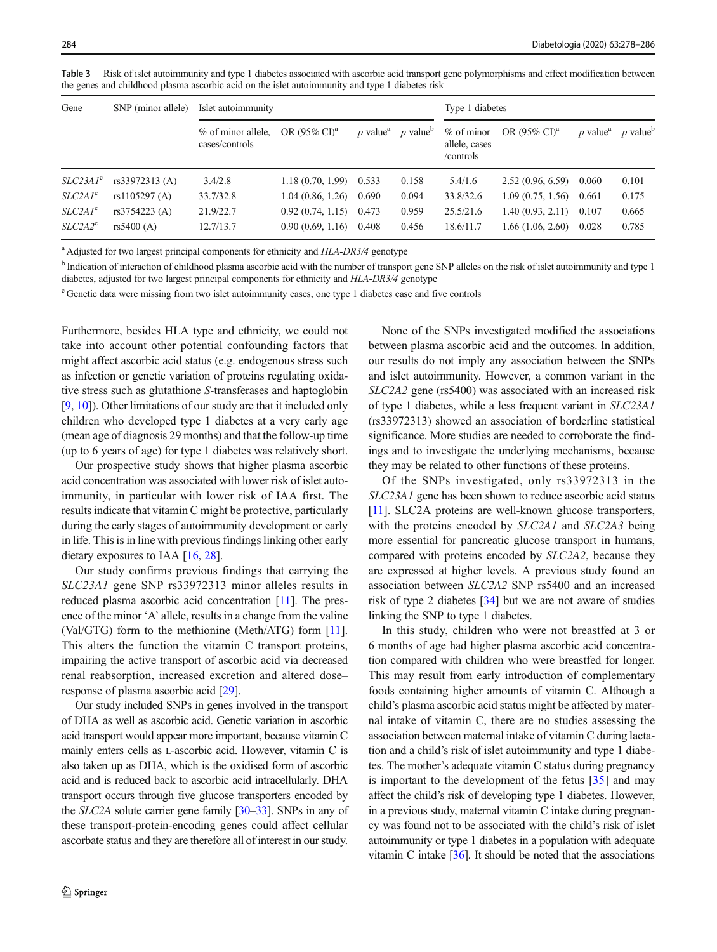Gene SNP (minor allele) Islet autoimmunity Type 1 diabetes % of minor allele, cases/controls OR (95% CI)<sup>a</sup> p value<sup>a</sup> p value<sup>b</sup> % of minor allele, cases /controls OR (95% CI)<sup>a</sup> p value<sup>a</sup> p value<sup>b</sup> SLC23A1<sup>c</sup> rs33972313 (A) 3.4/2.8 1.18 (0.70, 1.99) 0.533 0.158 5.4/1.6 2.52 (0.96, 6.59) 0.060 0.101 SLC2A1<sup>c</sup> rs1105297 (A) 33.7/32.8 1.04 (0.86, 1.26) 0.690 0.094 33.8/32.6 1.09 (0.75, 1.56) 0.661 0.175 SLC2A1<sup>c</sup> rs3754223 (A) 21.9/22.7 0.92 (0.74, 1.15) 0.473 0.959 25.5/21.6 1.40 (0.93, 2.11) 0.107 0.665

<span id="page-6-0"></span>Table 3 Risk of islet autoimmunity and type 1 diabetes associated with ascorbic acid transport gene polymorphisms and effect modification between the genes and childhood plasma ascorbic acid on the islet autoimmunity and type 1 diabetes risk

<sup>a</sup> Adjusted for two largest principal components for ethnicity and HLA-DR3/4 genotype

<sup>b</sup> Indication of interaction of childhood plasma ascorbic acid with the number of transport gene SNP alleles on the risk of islet autoimmunity and type 1 diabetes, adjusted for two largest principal components for ethnicity and HLA-DR3/4 genotype

 $SLC2A2^c$  rs5400 (A) 12.7/13.7 0.90 (0.69, 1.16) 0.408 0.456 18.6/11.7 1.66 (1.06, 2.60) 0.028 0.785

<sup>c</sup> Genetic data were missing from two islet autoimmunity cases, one type 1 diabetes case and five controls

Furthermore, besides HLA type and ethnicity, we could not take into account other potential confounding factors that might affect ascorbic acid status (e.g. endogenous stress such as infection or genetic variation of proteins regulating oxidative stress such as glutathione S-transferases and haptoglobin [\[9](#page-7-0), [10](#page-7-0)]). Other limitations of our study are that it included only children who developed type 1 diabetes at a very early age (mean age of diagnosis 29 months) and that the follow-up time (up to 6 years of age) for type 1 diabetes was relatively short.

Our prospective study shows that higher plasma ascorbic acid concentration was associated with lower risk of islet autoimmunity, in particular with lower risk of IAA first. The results indicate that vitamin C might be protective, particularly during the early stages of autoimmunity development or early in life. This is in line with previous findings linking other early dietary exposures to IAA [\[16,](#page-8-0) [28\]](#page-8-0).

Our study confirms previous findings that carrying the SLC23A1 gene SNP rs33972313 minor alleles results in reduced plasma ascorbic acid concentration [\[11\]](#page-7-0). The presence of the minor 'A' allele, results in a change from the valine (Val/GTG) form to the methionine (Meth/ATG) form [[11](#page-7-0)]. This alters the function the vitamin C transport proteins, impairing the active transport of ascorbic acid via decreased renal reabsorption, increased excretion and altered dose– response of plasma ascorbic acid [[29\]](#page-8-0).

Our study included SNPs in genes involved in the transport of DHA as well as ascorbic acid. Genetic variation in ascorbic acid transport would appear more important, because vitamin C mainly enters cells as L-ascorbic acid. However, vitamin C is also taken up as DHA, which is the oxidised form of ascorbic acid and is reduced back to ascorbic acid intracellularly. DHA transport occurs through five glucose transporters encoded by the SLC2A solute carrier gene family [\[30](#page-8-0)–[33](#page-8-0)]. SNPs in any of these transport-protein-encoding genes could affect cellular ascorbate status and they are therefore all of interest in our study.

None of the SNPs investigated modified the associations between plasma ascorbic acid and the outcomes. In addition, our results do not imply any association between the SNPs and islet autoimmunity. However, a common variant in the SLC2A2 gene (rs5400) was associated with an increased risk of type 1 diabetes, while a less frequent variant in SLC23A1 (rs33972313) showed an association of borderline statistical significance. More studies are needed to corroborate the findings and to investigate the underlying mechanisms, because they may be related to other functions of these proteins.

Of the SNPs investigated, only rs33972313 in the SLC23A1 gene has been shown to reduce ascorbic acid status [\[11\]](#page-7-0). SLC2A proteins are well-known glucose transporters, with the proteins encoded by SLC2A1 and SLC2A3 being more essential for pancreatic glucose transport in humans, compared with proteins encoded by SLC2A2, because they are expressed at higher levels. A previous study found an association between SLC2A2 SNP rs5400 and an increased risk of type 2 diabetes [[34\]](#page-8-0) but we are not aware of studies linking the SNP to type 1 diabetes.

In this study, children who were not breastfed at 3 or 6 months of age had higher plasma ascorbic acid concentration compared with children who were breastfed for longer. This may result from early introduction of complementary foods containing higher amounts of vitamin C. Although a child's plasma ascorbic acid status might be affected by maternal intake of vitamin C, there are no studies assessing the association between maternal intake of vitamin C during lactation and a child's risk of islet autoimmunity and type 1 diabetes. The mother's adequate vitamin C status during pregnancy is important to the development of the fetus [[35](#page-8-0)] and may affect the child's risk of developing type 1 diabetes. However, in a previous study, maternal vitamin C intake during pregnancy was found not to be associated with the child's risk of islet autoimmunity or type 1 diabetes in a population with adequate vitamin C intake [\[36\]](#page-8-0). It should be noted that the associations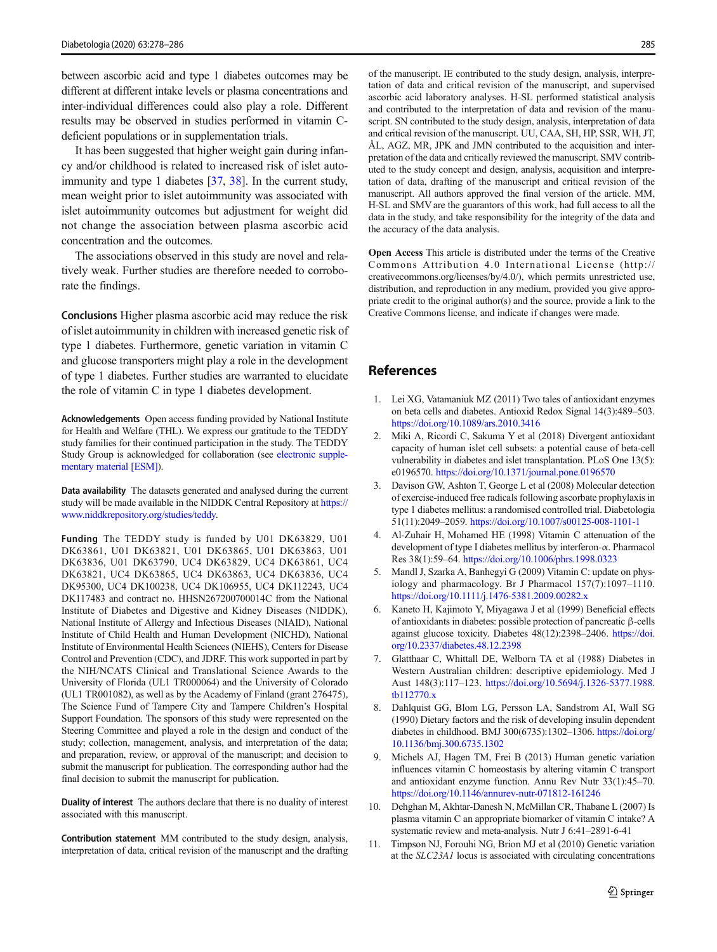<span id="page-7-0"></span>between ascorbic acid and type 1 diabetes outcomes may be different at different intake levels or plasma concentrations and inter-individual differences could also play a role. Different results may be observed in studies performed in vitamin Cdeficient populations or in supplementation trials.

It has been suggested that higher weight gain during infancy and/or childhood is related to increased risk of islet auto-immunity and type 1 diabetes [\[37](#page-8-0), [38\]](#page-8-0). In the current study, mean weight prior to islet autoimmunity was associated with islet autoimmunity outcomes but adjustment for weight did not change the association between plasma ascorbic acid concentration and the outcomes.

The associations observed in this study are novel and relatively weak. Further studies are therefore needed to corroborate the findings.

Conclusions Higher plasma ascorbic acid may reduce the risk of islet autoimmunity in children with increased genetic risk of type 1 diabetes. Furthermore, genetic variation in vitamin C and glucose transporters might play a role in the development of type 1 diabetes. Further studies are warranted to elucidate the role of vitamin C in type 1 diabetes development.

Acknowledgements Open access funding provided by National Institute for Health and Welfare (THL). We express our gratitude to the TEDDY study families for their continued participation in the study. The TEDDY Study Group is acknowledged for collaboration (see electronic supplementary material [ESM]).

Data availability The datasets generated and analysed during the current study will be made available in the NIDDK Central Repository at [https://](https://www.niddkrepository.org/studies/teddy) [www.niddkrepository.org/studies/teddy.](https://www.niddkrepository.org/studies/teddy)

Funding The TEDDY study is funded by U01 DK63829, U01 DK63861, U01 DK63821, U01 DK63865, U01 DK63863, U01 DK63836, U01 DK63790, UC4 DK63829, UC4 DK63861, UC4 DK63821, UC4 DK63865, UC4 DK63863, UC4 DK63836, UC4 DK95300, UC4 DK100238, UC4 DK106955, UC4 DK112243, UC4 DK117483 and contract no. HHSN267200700014C from the National Institute of Diabetes and Digestive and Kidney Diseases (NIDDK), National Institute of Allergy and Infectious Diseases (NIAID), National Institute of Child Health and Human Development (NICHD), National Institute of Environmental Health Sciences (NIEHS), Centers for Disease Control and Prevention (CDC), and JDRF. This work supported in part by the NIH/NCATS Clinical and Translational Science Awards to the University of Florida (UL1 TR000064) and the University of Colorado (UL1 TR001082), as well as by the Academy of Finland (grant 276475), The Science Fund of Tampere City and Tampere Children's Hospital Support Foundation. The sponsors of this study were represented on the Steering Committee and played a role in the design and conduct of the study; collection, management, analysis, and interpretation of the data; and preparation, review, or approval of the manuscript; and decision to submit the manuscript for publication. The corresponding author had the final decision to submit the manuscript for publication.

Duality of interest The authors declare that there is no duality of interest associated with this manuscript.

Contribution statement MM contributed to the study design, analysis, interpretation of data, critical revision of the manuscript and the drafting of the manuscript. IE contributed to the study design, analysis, interpretation of data and critical revision of the manuscript, and supervised ascorbic acid laboratory analyses. H-SL performed statistical analysis and contributed to the interpretation of data and revision of the manuscript. SN contributed to the study design, analysis, interpretation of data and critical revision of the manuscript. UU, CAA, SH, HP, SSR, WH, JT, ÅL, AGZ, MR, JPK and JMN contributed to the acquisition and interpretation of the data and critically reviewed the manuscript. SMV contributed to the study concept and design, analysis, acquisition and interpretation of data, drafting of the manuscript and critical revision of the manuscript. All authors approved the final version of the article. MM, H-SL and SMV are the guarantors of this work, had full access to all the data in the study, and take responsibility for the integrity of the data and the accuracy of the data analysis.

Open Access This article is distributed under the terms of the Creative Commons Attribution 4.0 International License (http:// creativecommons.org/licenses/by/4.0/), which permits unrestricted use, distribution, and reproduction in any medium, provided you give appropriate credit to the original author(s) and the source, provide a link to the Creative Commons license, and indicate if changes were made.

## References

- 1. Lei XG, Vatamaniuk MZ (2011) Two tales of antioxidant enzymes on beta cells and diabetes. Antioxid Redox Signal 14(3):489–503. <https://doi.org/10.1089/ars.2010.3416>
- 2. Miki A, Ricordi C, Sakuma Y et al (2018) Divergent antioxidant capacity of human islet cell subsets: a potential cause of beta-cell vulnerability in diabetes and islet transplantation. PLoS One 13(5): e0196570. <https://doi.org/10.1371/journal.pone.0196570>
- 3. Davison GW, Ashton T, George L et al (2008) Molecular detection of exercise-induced free radicals following ascorbate prophylaxis in type 1 diabetes mellitus: a randomised controlled trial. Diabetologia 51(11):2049–2059. <https://doi.org/10.1007/s00125-008-1101-1>
- 4. Al-Zuhair H, Mohamed HE (1998) Vitamin C attenuation of the development of type I diabetes mellitus by interferon-α. Pharmacol Res 38(1):59–64. <https://doi.org/10.1006/phrs.1998.0323>
- 5. Mandl J, Szarka A, Banhegyi G (2009) Vitamin C: update on physiology and pharmacology. Br J Pharmacol 157(7):1097–1110. <https://doi.org/10.1111/j.1476-5381.2009.00282.x>
- 6. Kaneto H, Kajimoto Y, Miyagawa J et al (1999) Beneficial effects of antioxidants in diabetes: possible protection of pancreatic β-cells against glucose toxicity. Diabetes 48(12):2398–2406. [https://doi.](https://doi.org/10.2337/diabetes.48.12.2398) [org/10.2337/diabetes.48.12.2398](https://doi.org/10.2337/diabetes.48.12.2398)
- 7. Glatthaar C, Whittall DE, Welborn TA et al (1988) Diabetes in Western Australian children: descriptive epidemiology. Med J Aust 148(3):117–123. [https://doi.org/10.5694/j.1326-5377.1988.](https://doi.org/10.5694/j.1326-5377.1988.tb112770.x) [tb112770.x](https://doi.org/10.5694/j.1326-5377.1988.tb112770.x)
- 8. Dahlquist GG, Blom LG, Persson LA, Sandstrom AI, Wall SG (1990) Dietary factors and the risk of developing insulin dependent diabetes in childhood. BMJ 300(6735):1302–1306. [https://doi.org/](https://doi.org/10.1136/bmj.300.6735.1302) [10.1136/bmj.300.6735.1302](https://doi.org/10.1136/bmj.300.6735.1302)
- 9. Michels AJ, Hagen TM, Frei B (2013) Human genetic variation influences vitamin C homeostasis by altering vitamin C transport and antioxidant enzyme function. Annu Rev Nutr 33(1):45–70. <https://doi.org/10.1146/annurev-nutr-071812-161246>
- 10. Dehghan M, Akhtar-Danesh N, McMillan CR, Thabane L (2007) Is plasma vitamin C an appropriate biomarker of vitamin C intake? A systematic review and meta-analysis. Nutr J 6:41–2891-6-41
- 11. Timpson NJ, Forouhi NG, Brion MJ et al (2010) Genetic variation at the SLC23A1 locus is associated with circulating concentrations